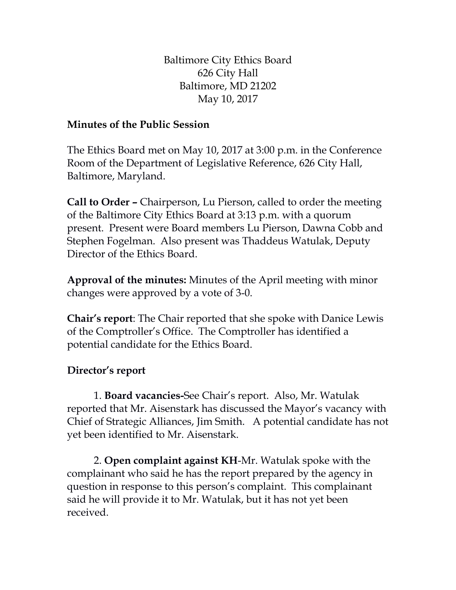Baltimore City Ethics Board 626 City Hall Baltimore, MD 21202 May 10, 2017

## **Minutes of the Public Session**

The Ethics Board met on May 10, 2017 at 3:00 p.m. in the Conference Room of the Department of Legislative Reference, 626 City Hall, Baltimore, Maryland.

**Call to Order –** Chairperson, Lu Pierson, called to order the meeting of the Baltimore City Ethics Board at 3:13 p.m. with a quorum present. Present were Board members Lu Pierson, Dawna Cobb and Stephen Fogelman. Also present was Thaddeus Watulak, Deputy Director of the Ethics Board.

**Approval of the minutes:** Minutes of the April meeting with minor changes were approved by a vote of 3-0.

**Chair's report**: The Chair reported that she spoke with Danice Lewis of the Comptroller's Office. The Comptroller has identified a potential candidate for the Ethics Board.

## **Director's report**

1. **Board vacancies-**See Chair's report. Also, Mr. Watulak reported that Mr. Aisenstark has discussed the Mayor's vacancy with Chief of Strategic Alliances, Jim Smith. A potential candidate has not yet been identified to Mr. Aisenstark.

2. **Open complaint against KH**-Mr. Watulak spoke with the complainant who said he has the report prepared by the agency in question in response to this person's complaint. This complainant said he will provide it to Mr. Watulak, but it has not yet been received.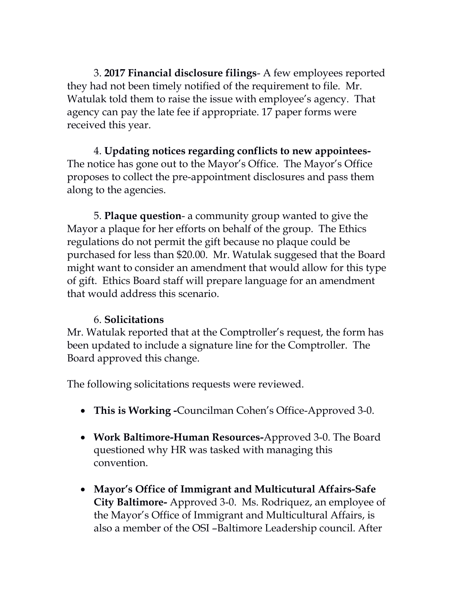3. **2017 Financial disclosure filings**- A few employees reported they had not been timely notified of the requirement to file. Mr. Watulak told them to raise the issue with employee's agency. That agency can pay the late fee if appropriate. 17 paper forms were received this year.

4. **Updating notices regarding conflicts to new appointees-**The notice has gone out to the Mayor's Office. The Mayor's Office proposes to collect the pre-appointment disclosures and pass them along to the agencies.

5. **Plaque question**- a community group wanted to give the Mayor a plaque for her efforts on behalf of the group. The Ethics regulations do not permit the gift because no plaque could be purchased for less than \$20.00. Mr. Watulak suggesed that the Board might want to consider an amendment that would allow for this type of gift. Ethics Board staff will prepare language for an amendment that would address this scenario.

## 6. **Solicitations**

Mr. Watulak reported that at the Comptroller's request, the form has been updated to include a signature line for the Comptroller. The Board approved this change.

The following solicitations requests were reviewed.

- **This is Working -**Councilman Cohen's Office-Approved 3-0.
- **Work Baltimore-Human Resources-**Approved 3-0. The Board questioned why HR was tasked with managing this convention.
- **Mayor's Office of Immigrant and Multicutural Affairs-Safe City Baltimore-** Approved 3-0. Ms. Rodriquez, an employee of the Mayor's Office of Immigrant and Multicultural Affairs, is also a member of the OSI –Baltimore Leadership council. After